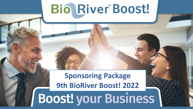# Bio River Boost!

## **Sponsoring Package 9th BioRiver Boost! 2022**

**Boost! your Business**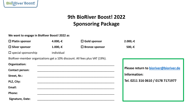

## **9th BioRiver Boost! 2022 Sponsoring Package**

**We want to engage in BioRiver Boost! 2022 as**

| $\Box$ Platin sponsor                                                      | 4.000,-€   | $\Box$ Gold sponsor   | $2.000,-€$ |  |
|----------------------------------------------------------------------------|------------|-----------------------|------------|--|
| $\Box$ Silver sponsor                                                      | $1.000,-€$ | $\Box$ Bronze sponsor | 500,-€     |  |
| $\Box$ special sponsorship                                                 | individual |                       |            |  |
| BioRiver-member organizations get a 10% discount. All fees plus VAT (19%). |            |                       |            |  |
| Organization:                                                              |            |                       |            |  |
| <b>Contact person:</b>                                                     |            |                       | Please re  |  |

**Email:** \_\_\_\_\_\_\_\_\_\_\_\_\_\_\_\_\_\_\_\_\_\_\_\_\_\_\_\_\_\_\_\_\_\_\_\_\_\_\_\_\_\_\_\_\_\_\_\_ **Please return to [bioriver@bioriver.de](mailto:bioriver@bioriver.de) Information: Tel. 0211 316 0610 / 0178 7171977**

**Phone:** \_\_\_\_\_\_\_\_\_\_\_\_\_\_\_\_\_\_\_\_\_\_\_\_\_\_\_\_\_\_\_\_\_\_\_\_\_\_\_\_\_\_\_\_\_\_\_\_

**Signature, Date:** \_\_\_\_\_\_\_\_\_\_\_\_\_\_\_\_\_\_\_\_\_\_\_\_\_\_\_\_\_\_\_\_\_\_\_\_\_\_\_\_\_\_\_\_\_\_\_\_

**Street, Nr.:** \_\_\_\_\_\_\_\_\_\_\_\_\_\_\_\_\_\_\_\_\_\_\_\_\_\_\_\_\_\_\_\_\_\_\_\_\_\_\_\_\_\_\_\_\_\_\_\_

**PLZ, City:** \_\_\_\_\_\_\_\_\_\_\_\_\_\_\_\_\_\_\_\_\_\_\_\_\_\_\_\_\_\_\_\_\_\_\_\_\_\_\_\_\_\_\_\_\_\_\_\_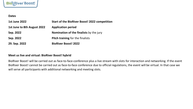

**Dates**

| <b>1st June 2022</b>        | <b>Start of the BioRiver Boost! 2022 competition</b> |
|-----------------------------|------------------------------------------------------|
| 1st June to 8th August 2022 | <b>Application period</b>                            |
| Sep. 2022                   | <b>Nomination of the finalists by the jury</b>       |
| Sep. 2022                   | <b>Pitch training for the finalists</b>              |
| 29. Sep. 2022               | <b>BioRiver Boost! 2022</b>                          |

### **Meet us live and virtual: BioRiver Boost! hybrid**

BioRiver Boost! will be carried out as face-to-face-conference plus a live stream with slots for interaction and networking. If the event BioRiver Boost! cannot be carried out as face-to-face conference due to official regulations, the event will be virtual. In that case we will serve all participants with additional networking and meeting slots.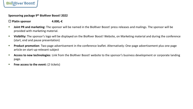

**Sponsoring package 9th BioRiver Boost! 2022**

**Platin sponsor 4.000,-€**

- **EXT Joint PR and marketing:** The sponsor will be named in the BioRiver Boost! press releases and mailings. The sponsor will be provided with marketing material.
- **Visibility:** The sponsor's logo will be displayed on the BioRiver Boost! Website, on Marketing material and during the conference (start, end and pause presentation)
- **Product promotion**: Two-page advertisement in the conference leaflet. Alternatively: One-page advertisement plus one page article on start-up-relevant subject
- **EXPENSIFY Access to new technologies**: Link from the BioRiver Boost! website to the sponsor's business development or corporate landing page.
- **Figurah:** Free access to the event: (2 tickets)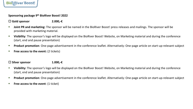

**Sponsoring package 9th BioRiver Boost! 2022**

**Gold sponsor 2.000,-€**

- **Joint PR and marketing:** The sponsor will be named in the BioRiver Boost! press releases and mailings. The sponsor will be provided with marketing material.
- **EXPONSIM** Visibility: The sponsor's logo will be displayed on the BioRiver Boost! Website, on Marketing material and during the conference (start, end and pause presentation)
- **Product promotion**: One-page advertisement in the conference leaflet. Alternatively: One-page article on start-up-relevant subject
- **Free access to the event:** (2 tickets)

### **Silver sponsor 1.000,-€**

- **Visibility:** The sponsor's logo will be displayed on the BioRiver Boost! Website, on Marketing material and during the conference (start, end and pause presentation)
- **Product promotion**: One-page advertisement in the conference leaflet. Alternatively: One-page article on start-up-relevant subject
- **Figure 2 Free access to the event:** (1 ticket)